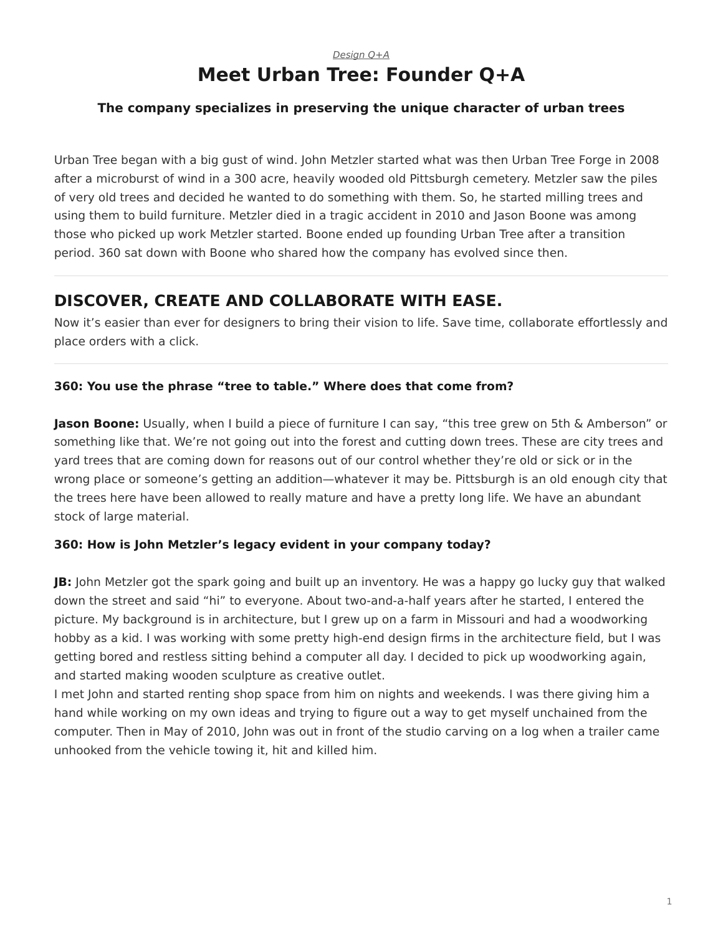# *[Design Q+A](https://www.steelcase.com/research/topics/design-q-a/)* **Meet Urban Tree: Founder Q+A**

## <span id="page-0-0"></span>**The company specializes in preserving the unique character of urban trees**

Urban Tree began with a big gust of wind. John Metzler started what was then Urban Tree Forge in 2008 after a microburst of wind in a 300 acre, heavily wooded old Pittsburgh cemetery. Metzler saw the piles of very old trees and decided he wanted to do something with them. So, he started milling trees and using them to build furniture. Metzler died in a tragic accident in 2010 and Jason Boone was among those who picked up work Metzler started. Boone ended up founding Urban Tree after a transition period. 360 sat down with Boone who shared how the company has evolved since then.

# **DISCOVER, CREATE AND COLLABORATE WITH EASE.**

Now it's easier than ever for designers to bring their vision to life. Save time, collaborate effortlessly and place orders with a click.

## **360: You use the phrase "tree to table." Where does that come from?**

**Jason Boone:** Usually, when I build a piece of furniture I can say, "this tree grew on 5th & Amberson" or something like that. We're not going out into the forest and cutting down trees. These are city trees and yard trees that are coming down for reasons out of our control whether they're old or sick or in the wrong place or someone's getting an addition—whatever it may be. Pittsburgh is an old enough city that the trees here have been allowed to really mature and have a pretty long life. We have an abundant stock of large material.

## **360: How is John Metzler's legacy evident in your company today?**

**JB:** John Metzler got the spark going and built up an inventory. He was a happy go lucky guy that walked down the street and said "hi" to everyone. About two-and-a-half years after he started, I entered the picture. My background is in architecture, but I grew up on a farm in Missouri and had a woodworking hobby as a kid. I was working with some pretty high-end design firms in the architecture field, but I was getting bored and restless sitting behind a computer all day. I decided to pick up woodworking again, and started making wooden sculpture as creative outlet.

I met John and started renting shop space from him on nights and weekends. I was there giving him a hand while working on my own ideas and trying to figure out a way to get myself unchained from the computer. Then in May of 2010, John was out in front of the studio carving on a log when a trailer came unhooked from the vehicle towing it, hit and killed him.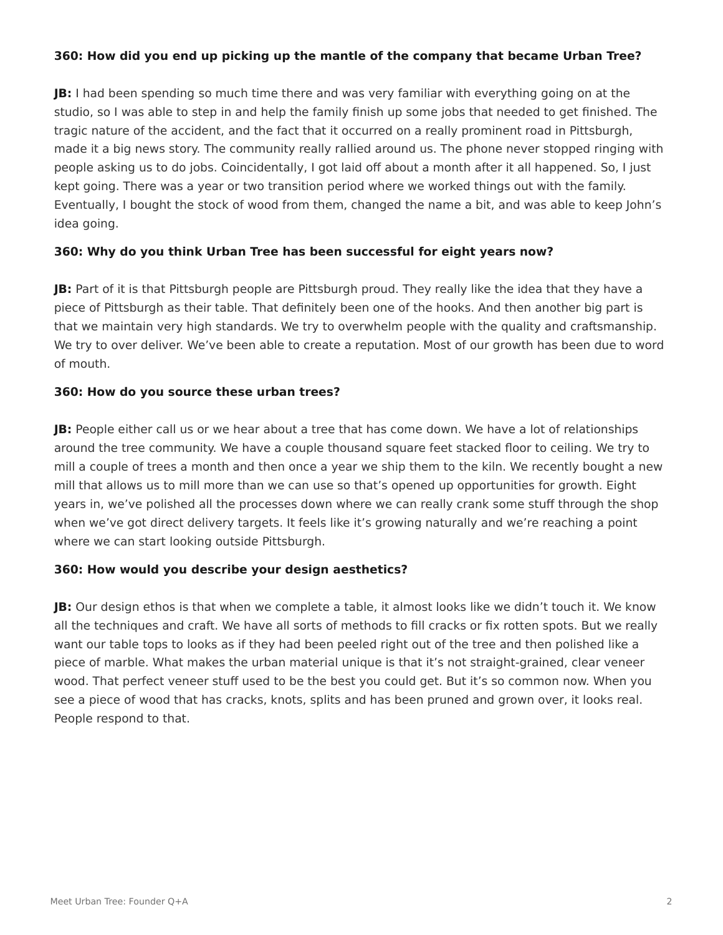## **360: How did you end up picking up the mantle of the company that became Urban Tree?**

**JB:** I had been spending so much time there and was very familiar with everything going on at the studio, so I was able to step in and help the family finish up some jobs that needed to get finished. The tragic nature of the accident, and the fact that it occurred on a really prominent road in Pittsburgh, made it a big news story. The community really rallied around us. The phone never stopped ringing with people asking us to do jobs. Coincidentally, I got laid off about a month after it all happened. So, I just kept going. There was a year or two transition period where we worked things out with the family. Eventually, I bought the stock of wood from them, changed the name a bit, and was able to keep John's idea going.

#### **360: Why do you think Urban Tree has been successful for eight years now?**

**JB:** Part of it is that Pittsburgh people are Pittsburgh proud. They really like the idea that they have a piece of Pittsburgh as their table. That definitely been one of the hooks. And then another big part is that we maintain very high standards. We try to overwhelm people with the quality and craftsmanship. We try to over deliver. We've been able to create a reputation. Most of our growth has been due to word of mouth.

#### **360: How do you source these urban trees?**

**JB:** People either call us or we hear about a tree that has come down. We have a lot of relationships around the tree community. We have a couple thousand square feet stacked floor to ceiling. We try to mill a couple of trees a month and then once a year we ship them to the kiln. We recently bought a new mill that allows us to mill more than we can use so that's opened up opportunities for growth. Eight years in, we've polished all the processes down where we can really crank some stuff through the shop when we've got direct delivery targets. It feels like it's growing naturally and we're reaching a point where we can start looking outside Pittsburgh.

#### **360: How would you describe your design aesthetics?**

**JB:** Our design ethos is that when we complete a table, it almost looks like we didn't touch it. We know all the techniques and craft. We have all sorts of methods to fill cracks or fix rotten spots. But we really want our table tops to looks as if they had been peeled right out of the tree and then polished like a piece of marble. What makes the urban material unique is that it's not straight-grained, clear veneer wood. That perfect veneer stuff used to be the best you could get. But it's so common now. When you see a piece of wood that has cracks, knots, splits and has been pruned and grown over, it looks real. People respond to that.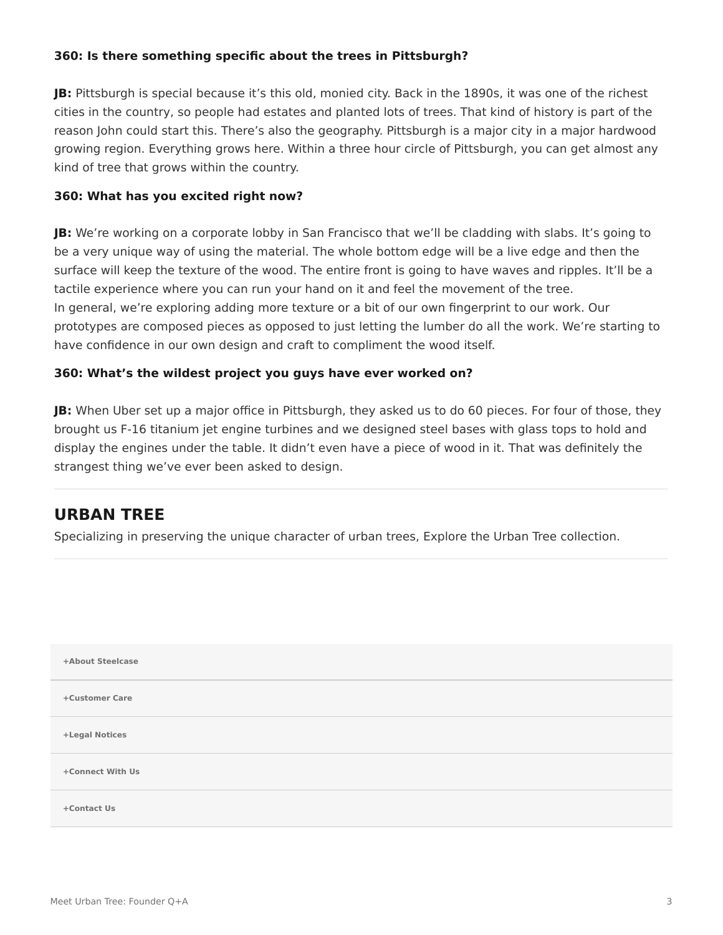## **360: Is there something specific about the trees in Pittsburgh?**

**JB:** Pittsburgh is special because it's this old, monied city. Back in the 1890s, it was one of the richest cities in the country, so people had estates and planted lots of trees. That kind of history is part of the reason John could start this. There's also the geography. Pittsburgh is a major city in a major hardwood growing region. Everything grows here. Within a three hour circle of Pittsburgh, you can get almost any kind of tree that grows within the country.

#### **360: What has you excited right now?**

**JB:** We're working on a corporate lobby in San Francisco that we'll be cladding with slabs. It's going to be a very unique way of using the material. The whole bottom edge will be a live edge and then the surface will keep the texture of the wood. The entire front is going to have waves and ripples. It'll be a tactile experience where you can run your hand on it and feel the movement of the tree. In general, we're exploring adding more texture or a bit of our own fingerprint to our work. Our prototypes are composed pieces as opposed to just letting the lumber do all the work. We're starting to have confidence in our own design and craft to compliment the wood itself.

#### **360: What's the wildest project you guys have ever worked on?**

**JB:** When Uber set up a major office in Pittsburgh, they asked us to do 60 pieces. For four of those, they brought us F-16 titanium jet engine turbines and we designed steel bases with glass tops to hold and display the engines under the table. It didn't even have a piece of wood in it. That was definitely the strangest thing we've ever been asked to design.

## **URBAN TREE**

Specializing in preserving the unique character of urban trees, Explore the Urban Tree collection.

| +About Steelcase |  |
|------------------|--|
| +Customer Care   |  |
| +Legal Notices   |  |
| +Connect With Us |  |
| +Contact Us      |  |